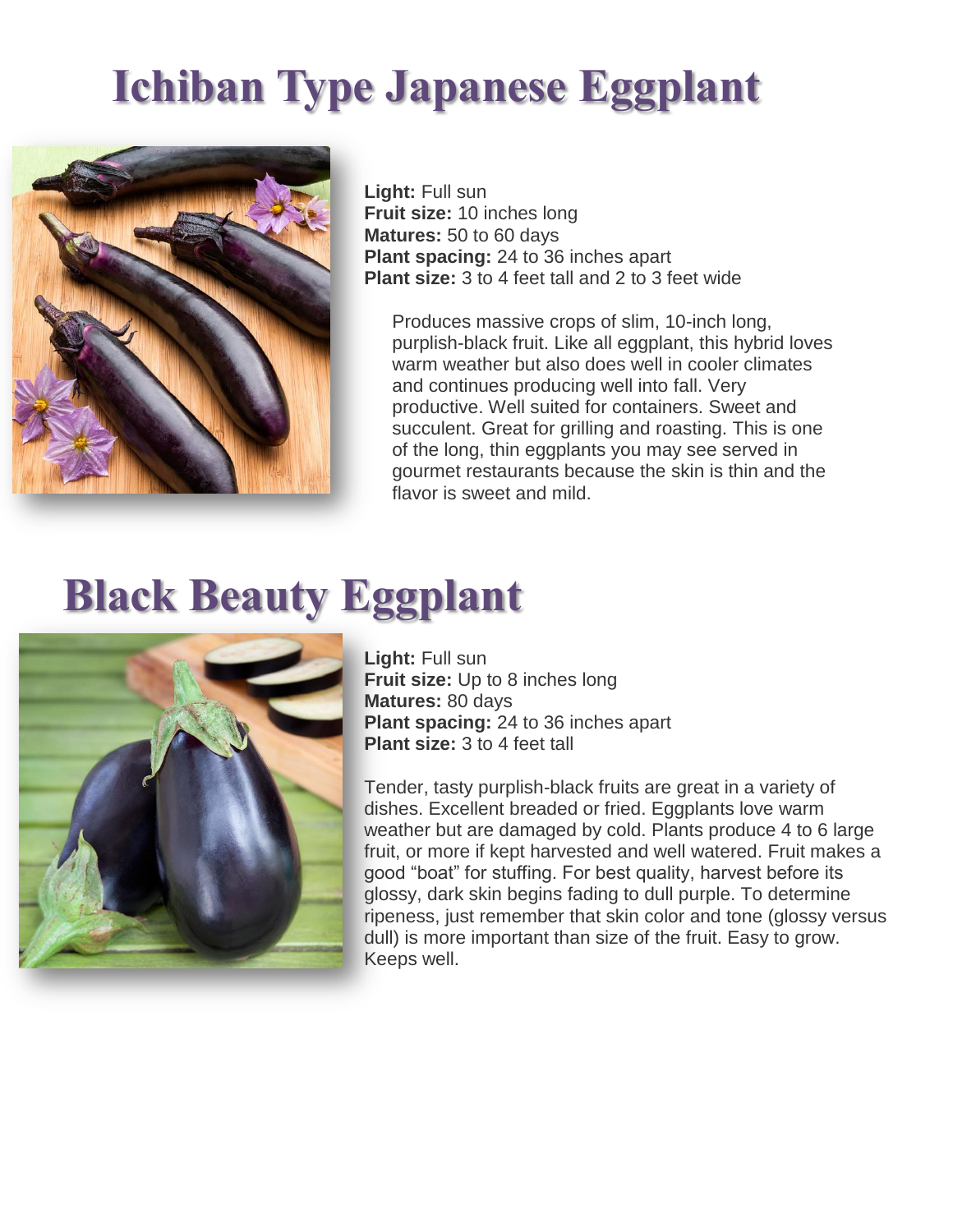## **Ichiban Type Japanese Eggplant**



**Light:** Full sun **Fruit size:** 10 inches long **Matures:** 50 to 60 days **Plant spacing:** 24 to 36 inches apart **Plant size:** 3 to 4 feet tall and 2 to 3 feet wide

Produces massive crops of slim, 10-inch long, purplish-black fruit. Like all eggplant, this hybrid loves warm weather but also does well in cooler climates and continues producing well into fall. Very productive. Well suited for containers. Sweet and succulent. Great for grilling and roasting. This is one of the long, thin eggplants you may see served in gourmet restaurants because the skin is thin and the flavor is sweet and mild.

## **Black Beauty Eggplant**



 **Light:** Full sun **Fruit size:** Up to 8 inches long **Matures:** 80 days **Plant spacing:** 24 to 36 inches apart **Plant size:** 3 to 4 feet tall

Tender, tasty purplish-black fruits are great in a variety of dishes. Excellent breaded or fried. Eggplants love warm weather but are damaged by cold. Plants produce 4 to 6 large fruit, or more if kept harvested and well watered. Fruit makes a good "boat" for stuffing. For best quality, harvest before its glossy, dark skin begins fading to dull purple. To determine ripeness, just remember that skin color and tone (glossy versus dull) is more important than size of the fruit. Easy to grow. Keeps well.